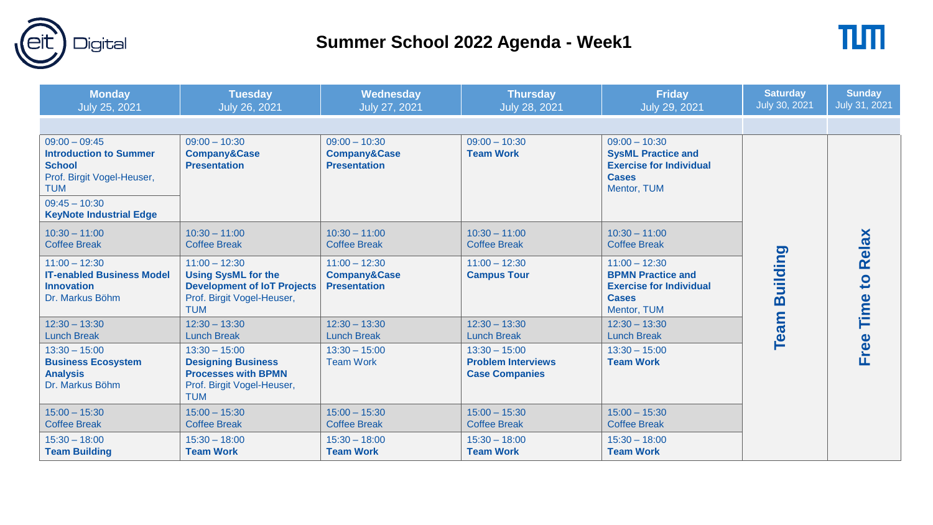

## **Summer School 2022 Agenda - Week1**



| <b>Monday</b><br>July 25, 2021                                                                                                   | <b>Tuesday</b><br>July 26, 2021                                                                                                 | Wednesday<br>July 27, 2021                                        | <b>Thursday</b><br><b>July 28, 2021</b>                               | <b>Friday</b><br>July 29, 2021                                                                                | <b>Saturday</b><br>July 30, 2021 | <b>Sunday</b><br>July 31, 2021 |
|----------------------------------------------------------------------------------------------------------------------------------|---------------------------------------------------------------------------------------------------------------------------------|-------------------------------------------------------------------|-----------------------------------------------------------------------|---------------------------------------------------------------------------------------------------------------|----------------------------------|--------------------------------|
|                                                                                                                                  |                                                                                                                                 |                                                                   |                                                                       |                                                                                                               |                                  |                                |
| $09:00 - 09:45$<br><b>Introduction to Summer</b><br><b>School</b><br>Prof. Birgit Vogel-Heuser,<br><b>TUM</b><br>$09:45 - 10:30$ | $09:00 - 10:30$<br><b>Company&amp;Case</b><br><b>Presentation</b>                                                               | $09:00 - 10:30$<br><b>Company&amp;Case</b><br><b>Presentation</b> | $09:00 - 10:30$<br><b>Team Work</b>                                   | $09:00 - 10:30$<br><b>SysML Practice and</b><br><b>Exercise for Individual</b><br><b>Cases</b><br>Mentor, TUM |                                  |                                |
| <b>KeyNote Industrial Edge</b>                                                                                                   |                                                                                                                                 |                                                                   |                                                                       |                                                                                                               |                                  |                                |
| $10:30 - 11:00$<br><b>Coffee Break</b>                                                                                           | $10:30 - 11:00$<br><b>Coffee Break</b>                                                                                          | $10:30 - 11:00$<br><b>Coffee Break</b>                            | $10:30 - 11:00$<br><b>Coffee Break</b>                                | $10:30 - 11:00$<br><b>Coffee Break</b>                                                                        |                                  | Relax                          |
| $11:00 - 12:30$<br><b>IT-enabled Business Model</b><br><b>Innovation</b><br>Dr. Markus Böhm                                      | $11:00 - 12:30$<br><b>Using SysML for the</b><br><b>Development of IoT Projects</b><br>Prof. Birgit Vogel-Heuser,<br><b>TUM</b> | $11:00 - 12:30$<br><b>Company&amp;Case</b><br><b>Presentation</b> | $11:00 - 12:30$<br><b>Campus Tour</b>                                 | $11:00 - 12:30$<br><b>BPMN Practice and</b><br><b>Exercise for Individual</b><br><b>Cases</b><br>Mentor, TUM  | <b>Building</b>                  | Time to                        |
| $12:30 - 13:30$<br><b>Lunch Break</b>                                                                                            | $12:30 - 13:30$<br><b>Lunch Break</b>                                                                                           | $12:30 - 13:30$<br><b>Lunch Break</b>                             | $12:30 - 13:30$<br><b>Lunch Break</b>                                 | $12:30 - 13:30$<br><b>Lunch Break</b>                                                                         | Team                             |                                |
| $13:30 - 15:00$<br><b>Business Ecosystem</b><br><b>Analysis</b><br>Dr. Markus Böhm                                               | $13:30 - 15:00$<br><b>Designing Business</b><br><b>Processes with BPMN</b><br>Prof. Birgit Vogel-Heuser,<br><b>TUM</b>          | $13:30 - 15:00$<br><b>Team Work</b>                               | $13:30 - 15:00$<br><b>Problem Interviews</b><br><b>Case Companies</b> | $13:30 - 15:00$<br><b>Team Work</b>                                                                           |                                  | Free                           |
| $15:00 - 15:30$<br><b>Coffee Break</b>                                                                                           | $15:00 - 15:30$<br><b>Coffee Break</b>                                                                                          | $15:00 - 15:30$<br><b>Coffee Break</b>                            | $15:00 - 15:30$<br><b>Coffee Break</b>                                | $15:00 - 15:30$<br><b>Coffee Break</b>                                                                        |                                  |                                |
| $15:30 - 18:00$<br><b>Team Building</b>                                                                                          | $15:30 - 18:00$<br><b>Team Work</b>                                                                                             | $15:30 - 18:00$<br><b>Team Work</b>                               | $15:30 - 18:00$<br><b>Team Work</b>                                   | $15:30 - 18:00$<br><b>Team Work</b>                                                                           |                                  |                                |